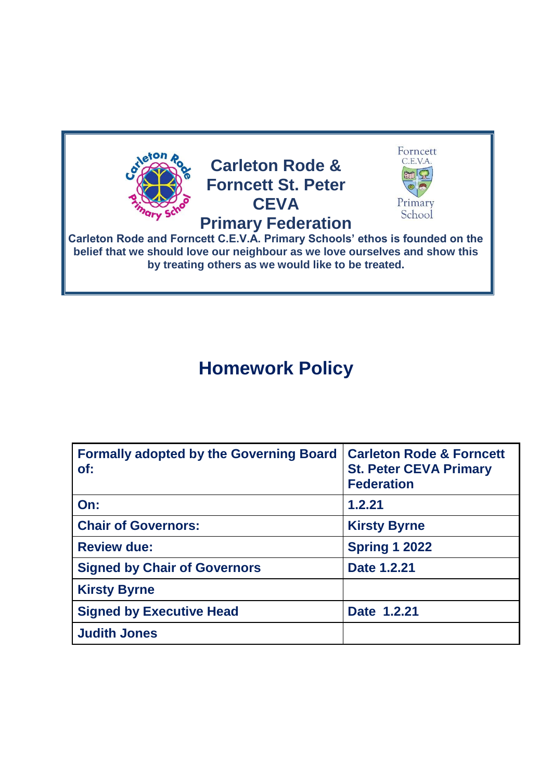

# **Homework Policy**

| <b>Formally adopted by the Governing Board</b><br>of: | <b>Carleton Rode &amp; Forncett</b><br><b>St. Peter CEVA Primary</b><br><b>Federation</b> |
|-------------------------------------------------------|-------------------------------------------------------------------------------------------|
| On:                                                   | 1.2.21                                                                                    |
| <b>Chair of Governors:</b>                            | <b>Kirsty Byrne</b>                                                                       |
| <b>Review due:</b>                                    | <b>Spring 1 2022</b>                                                                      |
| <b>Signed by Chair of Governors</b>                   | Date 1.2.21                                                                               |
| <b>Kirsty Byrne</b>                                   |                                                                                           |
| <b>Signed by Executive Head</b>                       | Date 1.2.21                                                                               |
| <b>Judith Jones</b>                                   |                                                                                           |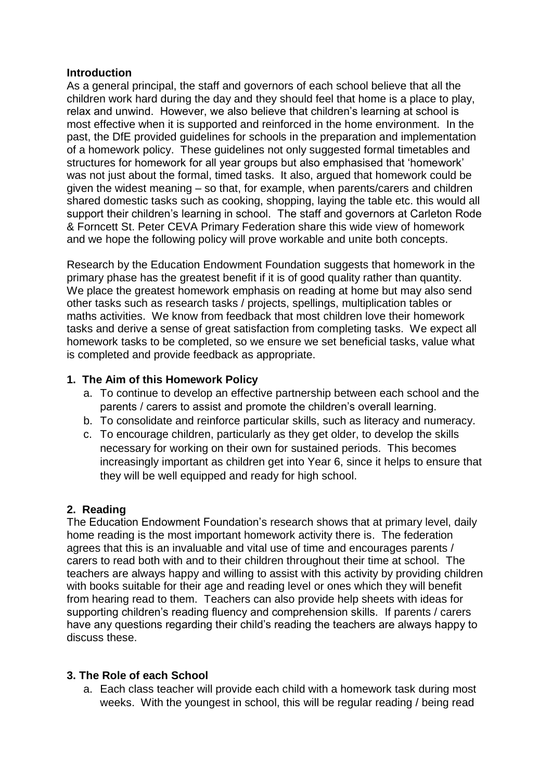### **Introduction**

As a general principal, the staff and governors of each school believe that all the children work hard during the day and they should feel that home is a place to play, relax and unwind. However, we also believe that children's learning at school is most effective when it is supported and reinforced in the home environment. In the past, the DfE provided guidelines for schools in the preparation and implementation of a homework policy. These guidelines not only suggested formal timetables and structures for homework for all year groups but also emphasised that 'homework' was not just about the formal, timed tasks. It also, argued that homework could be given the widest meaning – so that, for example, when parents/carers and children shared domestic tasks such as cooking, shopping, laying the table etc. this would all support their children's learning in school. The staff and governors at Carleton Rode & Forncett St. Peter CEVA Primary Federation share this wide view of homework and we hope the following policy will prove workable and unite both concepts.

Research by the Education Endowment Foundation suggests that homework in the primary phase has the greatest benefit if it is of good quality rather than quantity. We place the greatest homework emphasis on reading at home but may also send other tasks such as research tasks / projects, spellings, multiplication tables or maths activities. We know from feedback that most children love their homework tasks and derive a sense of great satisfaction from completing tasks. We expect all homework tasks to be completed, so we ensure we set beneficial tasks, value what is completed and provide feedback as appropriate.

## **1. The Aim of this Homework Policy**

- a. To continue to develop an effective partnership between each school and the parents / carers to assist and promote the children's overall learning.
- b. To consolidate and reinforce particular skills, such as literacy and numeracy.
- c. To encourage children, particularly as they get older, to develop the skills necessary for working on their own for sustained periods. This becomes increasingly important as children get into Year 6, since it helps to ensure that they will be well equipped and ready for high school.

### **2. Reading**

The Education Endowment Foundation's research shows that at primary level, daily home reading is the most important homework activity there is. The federation agrees that this is an invaluable and vital use of time and encourages parents / carers to read both with and to their children throughout their time at school. The teachers are always happy and willing to assist with this activity by providing children with books suitable for their age and reading level or ones which they will benefit from hearing read to them. Teachers can also provide help sheets with ideas for supporting children's reading fluency and comprehension skills. If parents / carers have any questions regarding their child's reading the teachers are always happy to discuss these.

### **3. The Role of each School**

a. Each class teacher will provide each child with a homework task during most weeks. With the youngest in school, this will be regular reading / being read